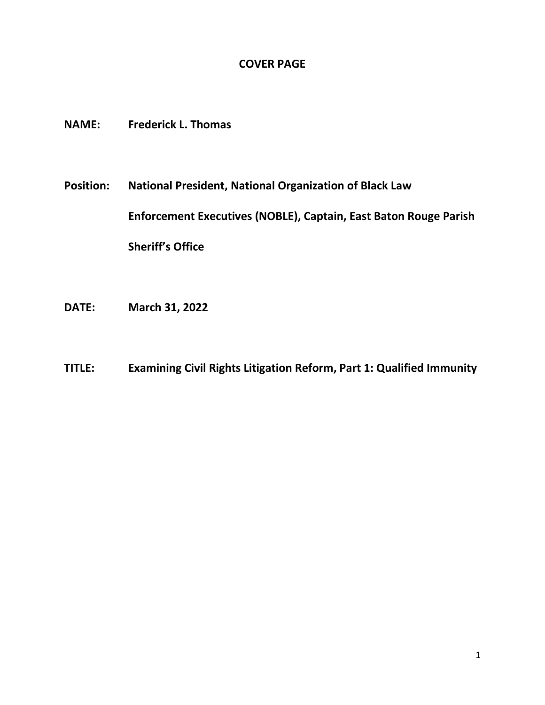## **COVER PAGE**

- **NAME: Frederick L. Thomas**
- **Position: National President, National Organization of Black Law Enforcement Executives (NOBLE), Captain, East Baton Rouge Parish Sheriff's Office**
- **DATE: March 31, 2022**
- **TITLE: Examining Civil Rights Litigation Reform, Part 1: Qualified Immunity**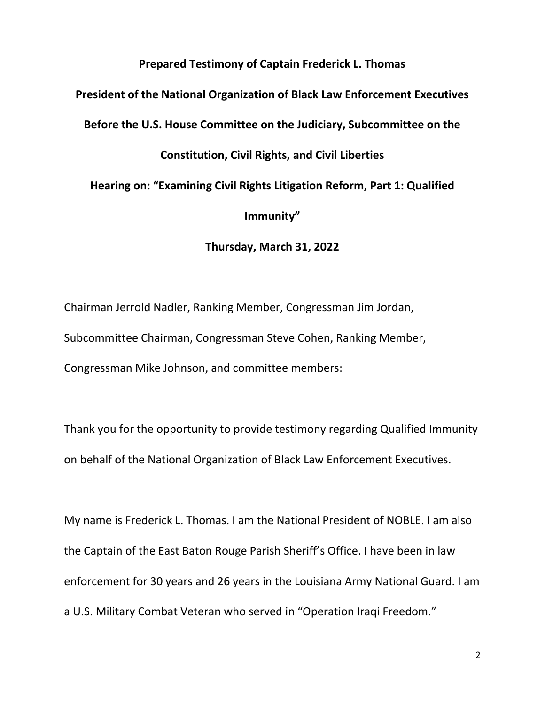## **Prepared Testimony of Captain Frederick L. Thomas**

**President of the National Organization of Black Law Enforcement Executives**

**Before the U.S. House Committee on the Judiciary, Subcommittee on the** 

## **Constitution, Civil Rights, and Civil Liberties**

**Hearing on: "Examining Civil Rights Litigation Reform, Part 1: Qualified** 

**Immunity"**

**Thursday, March 31, 2022**

Chairman Jerrold Nadler, Ranking Member, Congressman Jim Jordan, Subcommittee Chairman, Congressman Steve Cohen, Ranking Member, Congressman Mike Johnson, and committee members:

Thank you for the opportunity to provide testimony regarding Qualified Immunity on behalf of the National Organization of Black Law Enforcement Executives.

My name is Frederick L. Thomas. I am the National President of NOBLE. I am also the Captain of the East Baton Rouge Parish Sheriff's Office. I have been in law enforcement for 30 years and 26 years in the Louisiana Army National Guard. I am a U.S. Military Combat Veteran who served in "Operation Iraqi Freedom."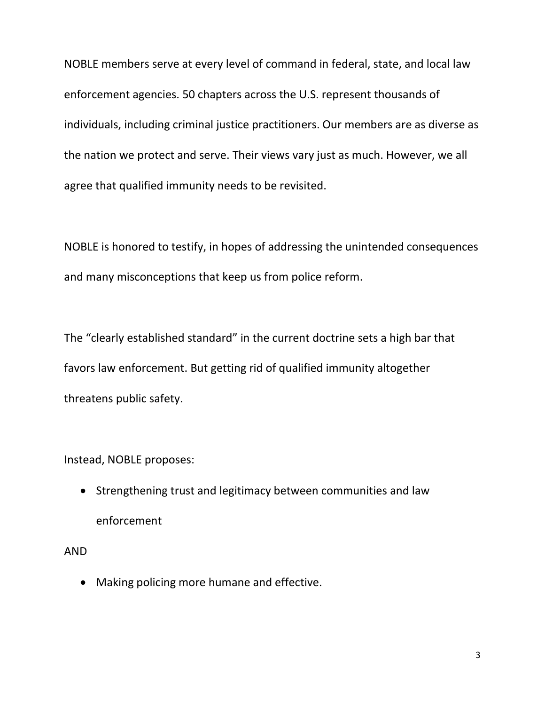NOBLE members serve at every level of command in federal, state, and local law enforcement agencies. 50 chapters across the U.S. represent thousands of individuals, including criminal justice practitioners. Our members are as diverse as the nation we protect and serve. Their views vary just as much. However, we all agree that qualified immunity needs to be revisited.

NOBLE is honored to testify, in hopes of addressing the unintended consequences and many misconceptions that keep us from police reform.

The "clearly established standard" in the current doctrine sets a high bar that favors law enforcement. But getting rid of qualified immunity altogether threatens public safety.

Instead, NOBLE proposes:

• Strengthening trust and legitimacy between communities and law enforcement

AND

• Making policing more humane and effective.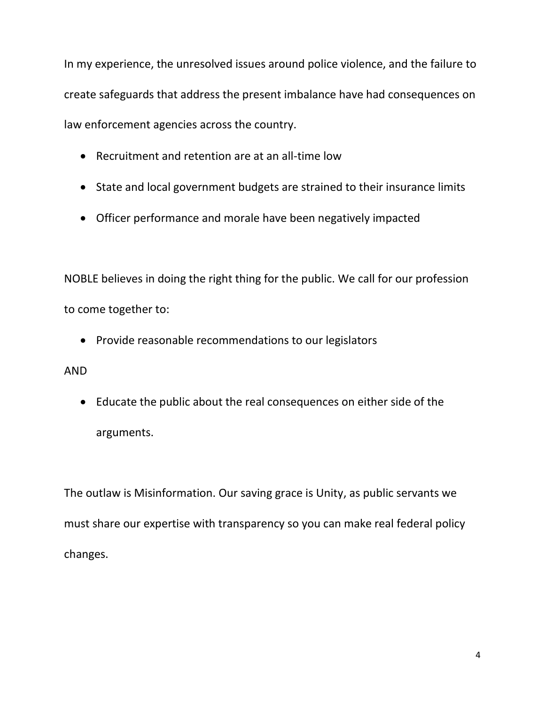In my experience, the unresolved issues around police violence, and the failure to create safeguards that address the present imbalance have had consequences on law enforcement agencies across the country.

- Recruitment and retention are at an all-time low
- State and local government budgets are strained to their insurance limits
- Officer performance and morale have been negatively impacted

NOBLE believes in doing the right thing for the public. We call for our profession to come together to:

• Provide reasonable recommendations to our legislators

## AND

• Educate the public about the real consequences on either side of the arguments.

The outlaw is Misinformation. Our saving grace is Unity, as public servants we must share our expertise with transparency so you can make real federal policy changes.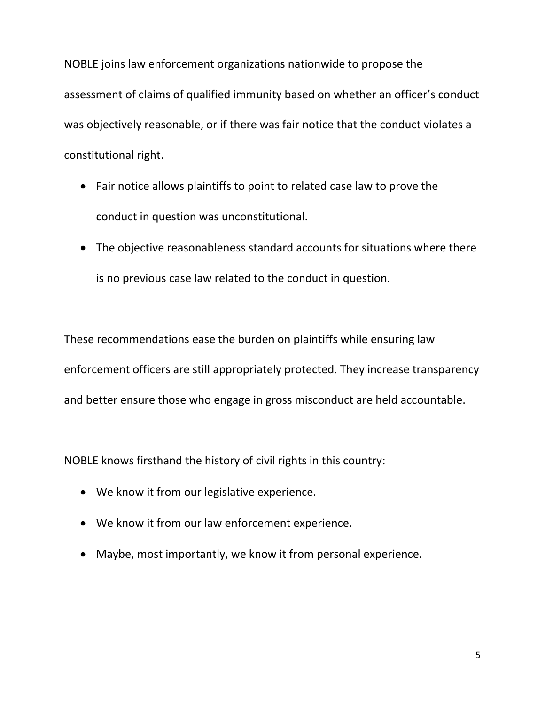NOBLE joins law enforcement organizations nationwide to propose the assessment of claims of qualified immunity based on whether an officer's conduct was objectively reasonable, or if there was fair notice that the conduct violates a constitutional right.

- Fair notice allows plaintiffs to point to related case law to prove the conduct in question was unconstitutional.
- The objective reasonableness standard accounts for situations where there is no previous case law related to the conduct in question.

These recommendations ease the burden on plaintiffs while ensuring law enforcement officers are still appropriately protected. They increase transparency and better ensure those who engage in gross misconduct are held accountable.

NOBLE knows firsthand the history of civil rights in this country:

- We know it from our legislative experience.
- We know it from our law enforcement experience.
- Maybe, most importantly, we know it from personal experience.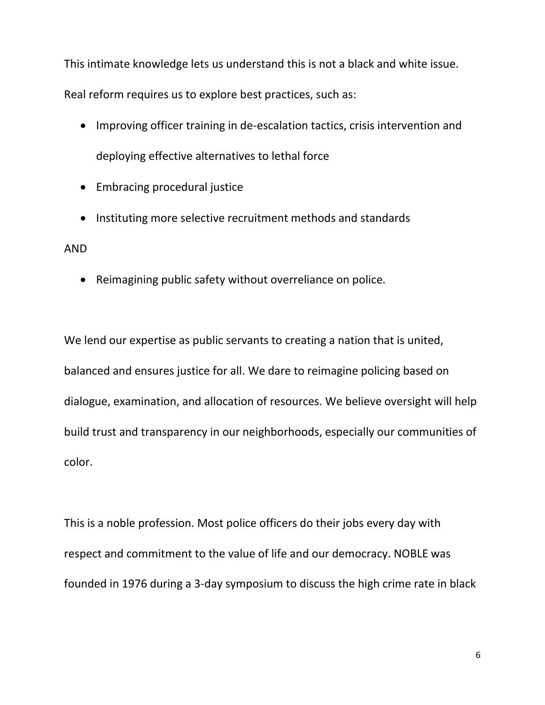This intimate knowledge lets us understand this is not a black and white issue. Real reform requires us to explore best practices, such as:

- Improving officer training in de-escalation tactics, crisis intervention and deploying effective alternatives to lethal force
- Embracing procedural justice
- Instituting more selective recruitment methods and standards

AND

• Reimagining public safety without overreliance on police.

We lend our expertise as public servants to creating a nation that is united, balanced and ensures justice for all. We dare to reimagine policing based on dialogue, examination, and allocation of resources. We believe oversight will help build trust and transparency in our neighborhoods, especially our communities of color.

This is a noble profession. Most police officers do their jobs every day with respect and commitment to the value of life and our democracy. NOBLE was founded in 1976 during a 3-day symposium to discuss the high crime rate in black